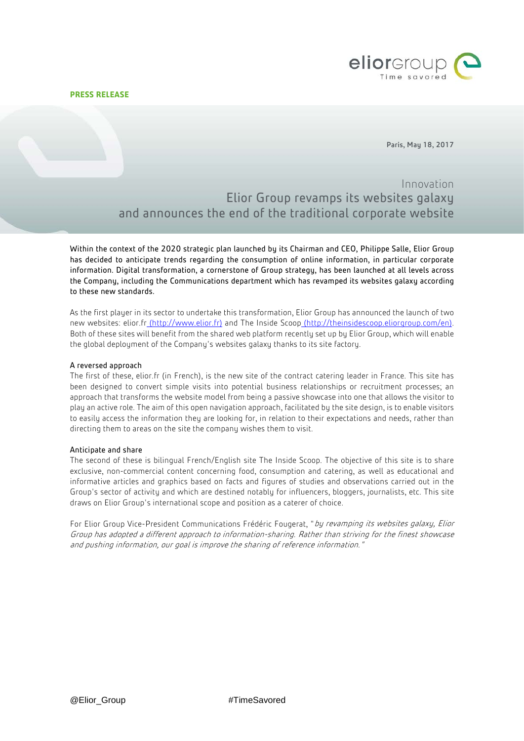# **PRESS RELEASE**



Paris, May 18, 2017

Innovation Elior Group revamps its websites galaxy and announces the end of the traditional corporate website

Within the context of the 2020 strategic plan launched by its Chairman and CEO, Philippe Salle, Elior Group has decided to anticipate trends regarding the consumption of online information, in particular corporate information. Digital transformation, a cornerstone of Group strategy, has been launched at all levels across the Company, including the Communications department which has revamped its websites galaxy according to these new standards.

As the first player in its sector to undertake this transformation, Elior Group has announced the launch of two new websites: elior.fr (http://www.elior.fr) and The Inside Scoop [\(http://theinsidescoop.eliorgroup.com/en\)](http://theinsidescoop.eliorgroup.com/en). Both of these sites will benefit from the shared web platform recently set up by Elior Group, which will enable the global deployment of the Company's websites galaxy thanks to its site factory.

# A reversed approach

The first of these, elior.fr (in French), is the new site of the contract catering leader in France. This site has been designed to convert simple visits into potential business relationships or recruitment processes; an approach that transforms the website model from being a passive showcase into one that allows the visitor to play an active role. The aim of this open navigation approach, facilitated by the site design, is to enable visitors to easily access the information they are looking for, in relation to their expectations and needs, rather than directing them to areas on the site the company wishes them to visit.

## Anticipate and share

The second of these is bilingual French/English site The Inside Scoop. The objective of this site is to share exclusive, non-commercial content concerning food, consumption and catering, as well as educational and informative articles and graphics based on facts and figures of studies and observations carried out in the Group's sector of activity and which are destined notably for influencers, bloggers, journalists, etc. This site draws on Elior Group's international scope and position as a caterer of choice.

For Elior Group Vice-President Communications Frédéric Fougerat, "by revamping its websites galaxy, Elior Group has adopted a different approach to information-sharing. Rather than striving for the finest showcase and pushing information, our goal is improve the sharing of reference information."